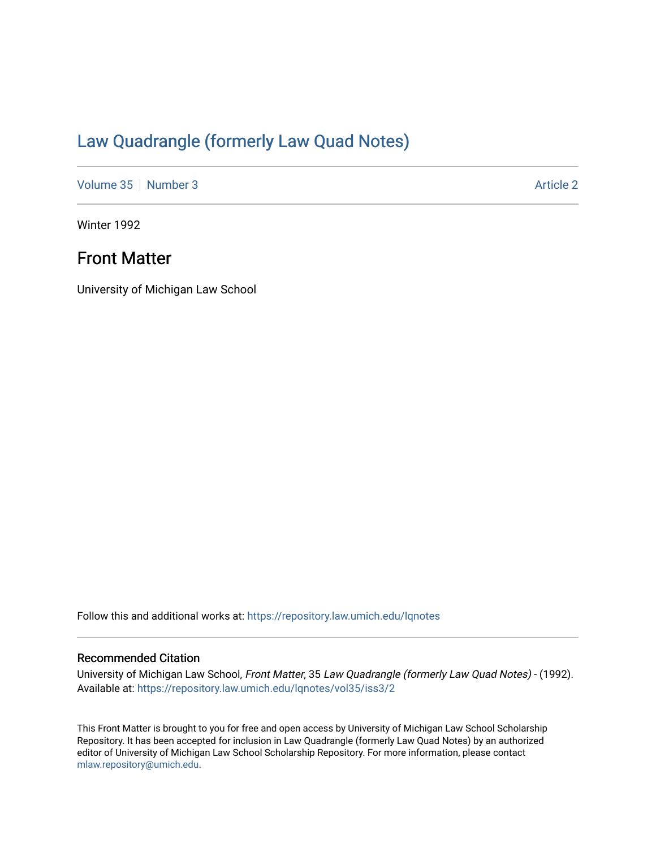## [Law Quadrangle \(formerly Law Quad Notes\)](https://repository.law.umich.edu/lqnotes)

[Volume 35](https://repository.law.umich.edu/lqnotes/vol35) [Number 3](https://repository.law.umich.edu/lqnotes/vol35/iss3) Article 2

Winter 1992

### Front Matter

University of Michigan Law School

Follow this and additional works at: [https://repository.law.umich.edu/lqnotes](https://repository.law.umich.edu/lqnotes?utm_source=repository.law.umich.edu%2Flqnotes%2Fvol35%2Fiss3%2F2&utm_medium=PDF&utm_campaign=PDFCoverPages) 

### Recommended Citation

University of Michigan Law School, Front Matter, 35 Law Quadrangle (formerly Law Quad Notes) - (1992). Available at: [https://repository.law.umich.edu/lqnotes/vol35/iss3/2](https://repository.law.umich.edu/lqnotes/vol35/iss3/2?utm_source=repository.law.umich.edu%2Flqnotes%2Fvol35%2Fiss3%2F2&utm_medium=PDF&utm_campaign=PDFCoverPages) 

This Front Matter is brought to you for free and open access by University of Michigan Law School Scholarship Repository. It has been accepted for inclusion in Law Quadrangle (formerly Law Quad Notes) by an authorized editor of University of Michigan Law School Scholarship Repository. For more information, please contact [mlaw.repository@umich.edu.](mailto:mlaw.repository@umich.edu)